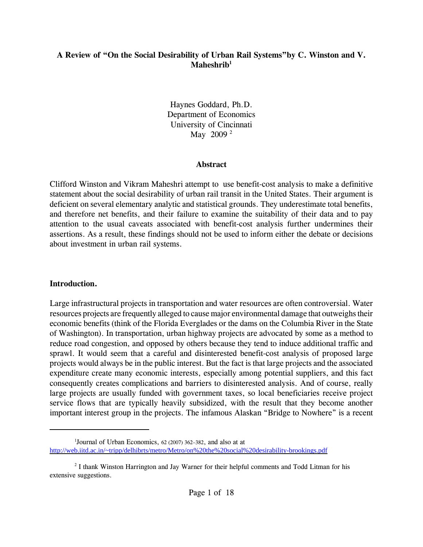## **A Review of "On the Social Desirability of Urban Rail Systems"by C. Winston and V. Maheshrib1**

Haynes Goddard, Ph.D. Department of Economics University of Cincinnati May 2009<sup>2</sup>

### **Abstract**

Clifford Winston and Vikram Maheshri attempt to use benefit-cost analysis to make a definitive statement about the social desirability of urban rail transit in the United States. Their argument is deficient on several elementary analytic and statistical grounds. They underestimate total benefits, and therefore net benefits, and their failure to examine the suitability of their data and to pay attention to the usual caveats associated with benefit-cost analysis further undermines their assertions. As a result, these findings should not be used to inform either the debate or decisions about investment in urban rail systems.

## **Introduction.**

Large infrastructural projects in transportation and water resources are often controversial. Water resources projects are frequently alleged to cause major environmental damage that outweighs their economic benefits (think of the Florida Everglades or the dams on the Columbia River in the State of Washington). In transportation, urban highway projects are advocated by some as a method to reduce road congestion, and opposed by others because they tend to induce additional traffic and sprawl. It would seem that a careful and disinterested benefit-cost analysis of proposed large projects would always be in the public interest. But the fact is that large projects and the associated expenditure create many economic interests, especially among potential suppliers, and this fact consequently creates complications and barriers to disinterested analysis. And of course, really large projects are usually funded with government taxes, so local beneficiaries receive project service flows that are typically heavily subsidized, with the result that they become another important interest group in the projects. The infamous Alaskan "Bridge to Nowhere" is a recent

<sup>1</sup> Journal of Urban Economics, 62 (2007) 362–382, and also at at http://web.iitd.ac.in/~tripp/delhibrts/metro/Metro/on%20the%20social%20desirability-brookings.pdf

<sup>&</sup>lt;sup>2</sup> I thank Winston Harrington and Jay Warner for their helpful comments and Todd Litman for his extensive suggestions.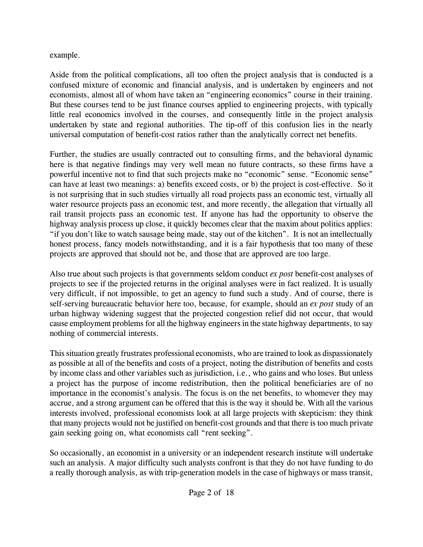example.

Aside from the political complications, all too often the project analysis that is conducted is a confused mixture of economic and financial analysis, and is undertaken by engineers and not economists, almost all of whom have taken an "engineering economics" course in their training. But these courses tend to be just finance courses applied to engineering projects, with typically little real economics involved in the courses, and consequently little in the project analysis undertaken by state and regional authorities. The tip-off of this confusion lies in the nearly universal computation of benefit-cost ratios rather than the analytically correct net benefits.

Further, the studies are usually contracted out to consulting firms, and the behavioral dynamic here is that negative findings may very well mean no future contracts, so these firms have a powerful incentive not to find that such projects make no "economic" sense. "Economic sense" can have at least two meanings: a) benefits exceed costs, or b) the project is cost-effective. So it is not surprising that in such studies virtually all road projects pass an economic test, virtually all water resource projects pass an economic test, and more recently, the allegation that virtually all rail transit projects pass an economic test. If anyone has had the opportunity to observe the highway analysis process up close, it quickly becomes clear that the maxim about politics applies: "if you don't like to watch sausage being made, stay out of the kitchen". It is not an intellectually honest process, fancy models notwithstanding, and it is a fair hypothesis that too many of these projects are approved that should not be, and those that are approved are too large.

Also true about such projects is that governments seldom conduct *ex post* benefit-cost analyses of projects to see if the projected returns in the original analyses were in fact realized. It is usually very difficult, if not impossible, to get an agency to fund such a study. And of course, there is self-serving bureaucratic behavior here too, because, for example, should an *ex post* study of an urban highway widening suggest that the projected congestion relief did not occur, that would cause employment problems for all the highway engineers in the state highway departments, to say nothing of commercial interests.

This situation greatly frustrates professional economists, who are trained to look as dispassionately as possible at all of the benefits and costs of a project, noting the distribution of benefits and costs by income class and other variables such as jurisdiction, i.e., who gains and who loses. But unless a project has the purpose of income redistribution, then the political beneficiaries are of no importance in the economist's analysis. The focus is on the net benefits, to whomever they may accrue, and a strong argument can be offered that this is the way it should be. With all the various interests involved, professional economists look at all large projects with skepticism: they think that many projects would not be justified on benefit-cost grounds and that there is too much private gain seeking going on, what economists call "rent seeking".

So occasionally, an economist in a university or an independent research institute will undertake such an analysis. A major difficulty such analysts confront is that they do not have funding to do a really thorough analysis, as with trip-generation models in the case of highways or mass transit,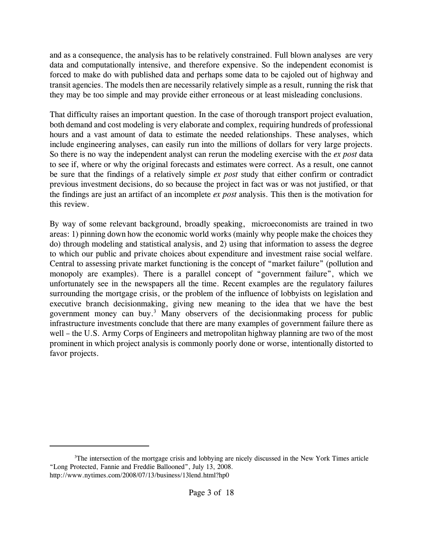and as a consequence, the analysis has to be relatively constrained. Full blown analyses are very data and computationally intensive, and therefore expensive. So the independent economist is forced to make do with published data and perhaps some data to be cajoled out of highway and transit agencies. The models then are necessarily relatively simple as a result, running the risk that they may be too simple and may provide either erroneous or at least misleading conclusions.

That difficulty raises an important question. In the case of thorough transport project evaluation, both demand and cost modeling is very elaborate and complex, requiring hundreds of professional hours and a vast amount of data to estimate the needed relationships. These analyses, which include engineering analyses, can easily run into the millions of dollars for very large projects. So there is no way the independent analyst can rerun the modeling exercise with the *ex post* data to see if, where or why the original forecasts and estimates were correct. As a result, one cannot be sure that the findings of a relatively simple *ex post* study that either confirm or contradict previous investment decisions, do so because the project in fact was or was not justified, or that the findings are just an artifact of an incomplete *ex post* analysis. This then is the motivation for this review.

By way of some relevant background, broadly speaking, microeconomists are trained in two areas: 1) pinning down how the economic world works (mainly why people make the choices they do) through modeling and statistical analysis, and 2) using that information to assess the degree to which our public and private choices about expenditure and investment raise social welfare. Central to assessing private market functioning is the concept of "market failure" (pollution and monopoly are examples). There is a parallel concept of "government failure", which we unfortunately see in the newspapers all the time. Recent examples are the regulatory failures surrounding the mortgage crisis, or the problem of the influence of lobbyists on legislation and executive branch decisionmaking, giving new meaning to the idea that we have the best government money can buy.3 Many observers of the decisionmaking process for public infrastructure investments conclude that there are many examples of government failure there as well – the U.S. Army Corps of Engineers and metropolitan highway planning are two of the most prominent in which project analysis is commonly poorly done or worse, intentionally distorted to favor projects.

<sup>&</sup>lt;sup>3</sup>The intersection of the mortgage crisis and lobbying are nicely discussed in the New York Times article "Long Protected, Fannie and Freddie Ballooned", July 13, 2008. http://www.nytimes.com/2008/07/13/business/13lend.html?hp0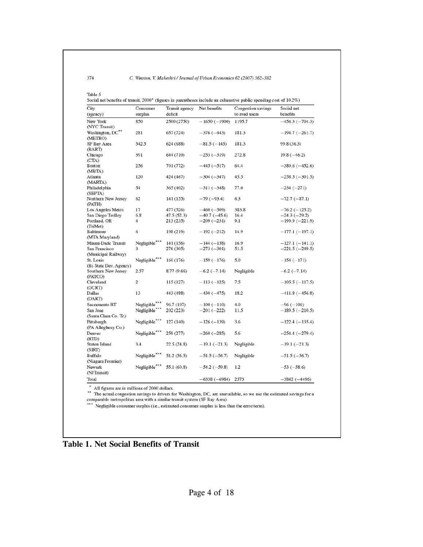#### C. Winston, V. Maheshri / Journal of Urban Economics 62 (2007) 362-382

| City                                | Consumer       | Transit agency | Net benefits   | <b>Congestion</b> savings | Social net           |  |
|-------------------------------------|----------------|----------------|----------------|---------------------------|----------------------|--|
| (agency)                            | surplus        | deficit        |                | to road users             | benefits             |  |
| New York<br>(NYC Transit)           | 850            | 2500 (2750)    | $-1650(-1900)$ | 1195.7                    | $-454.3(-704.3)$     |  |
| Washington, DC**<br>(METRO)         | 281            | 657(724)       | $-376(-443)$   | 181.3                     | $-194.7(-261.7)$     |  |
| SF Bay Area<br>(BART)               | 542.5          | 624 (688)      | $-81.5(-145)$  | 181.3                     | 99.8 (36.3)          |  |
| Chicago<br>(CTA)                    | 391            | 644 (710)      | $-253(-319)$   | 272.8                     | $19.8(-46.2)$        |  |
| Boston<br>(MBTA)                    | 256            | 701 (772)      | $-445(-517)$   | 64.4                      | $-380.6(-452.6)$     |  |
| Atlanta<br>(MARTA)                  | 120            | 424 (467)      | $-304(-347)$   | 45.5                      | $-258.5(-301.5)$     |  |
| Philadelphia<br>(SEPTA)             | 54             | 365 (402)      | $-311(-348)$   | 77.0                      | $-234(-271)$         |  |
| Northern New Jersey<br>(PATH)       | 62             | 141 (155)      | $-79(-93.4)$   | 6.3                       | $-72.7(-87.1)$       |  |
| Los Angeles Metro                   | 17             | 477 (526)      | $-460(-509)$   | 383.8                     | $-76.2$ ( $-125.2$ ) |  |
| San Diego Trolley                   | 6.8            | 47.5(52.3)     | $-40.7(-45.6)$ | 16.4                      | $-24.3(-29.2)$       |  |
| Portland, OR<br>(TriMet)            | 4              | 213 (235)      | $-209(-231)$   | 9.1                       | $-199.9(-221.9)$     |  |
| Baltimore<br>(MTA Maryland)         | 6              | 198 (219)      | $-192(-212)$   | 14.9                      | $-177.1(-197.1)$     |  |
| Miami-Dade Transit                  | Negligible***  | 141 (156)      | $-144(-158)$   | 16.9                      | $-127.1(-141.1)$     |  |
| San Francisco                       | 3              | 276 (305)      | $-273(-301)$   | 51.5                      | $-221.5(-249.5)$     |  |
| (Municipal Railway)                 |                |                |                |                           |                      |  |
| St. Louis<br>(Bi-State Dev. Agency) | Negligible***  | 160 (176)      | $-159(-176)$   | 5.0                       | $-154(-171)$         |  |
| Southern New Jersey<br>(PATCO)      | 2.57           | 8.77 (9.66)    | $-6.2(-7.14)$  | Negligible                | $-6.2(-7.14)$        |  |
| Cleveland<br>(GCRT)                 | $\overline{2}$ | 115(127)       | $-113(-125)$   | 7.5                       | $-105.5(-117.5)$     |  |
| Dallas<br>(DART)                    | 13             | 443 (488)      | $-430(-475)$   | 18.2                      | $-411.8(-456.8)$     |  |
| Sacramento RT                       | Negligible***  | 96.7 (107)     | $-100(-110)$   | 4.0                       | $-96(-106)$          |  |
| San Jose                            | Negligible***  |                |                | 11.5                      |                      |  |
| (Santa Clara Co. Tr.)               |                | 202 (223)      | $-201(-222)$   |                           | $-189.5(-210.5)$     |  |
| Pittsburgh                          | Negligible***  | 127 (140)      | $-126(-139)$   | 3.6                       | $-122.4(-135.4)$     |  |
| (PA Allegheny Co.)<br>Denver        | Negligible***  | 259 (277)      | $-260(-285)$   | 5.6                       | $-254.4(-279.4)$     |  |
| (RTD)<br>Staten Island              | 3.4            | 22.5(24.8)     | $-19.1(-21.3)$ | Negligible                | $-19.1(-21.3)$       |  |
| (S <sub>IRT</sub> )<br>Buffalo      | Negligible***  | 51.2(56.5)     | $-51.5(-56.7)$ | Negligible                | $-51.5(-56.7)$       |  |
| (Niagara Frontier)<br>Newark        | Negligible**** | 55.1 (60.8)    | $-54.2(-59.8)$ | 1.2                       | $-53(-58.6)$         |  |
| (NJTransit)<br>Total                |                |                | $-6338(-6984)$ | 2573                      | $-3842(-4496)$       |  |

\* All figures are in millions of 2000 dollars.<br>\*\* The actual congestion savings to drivers for Washington, DC, are unavailable, so we use the estimated savings for a<br>comparable metropolitan area with a similar transit syst

**Table 1. Net Social Benefits of Transit**

374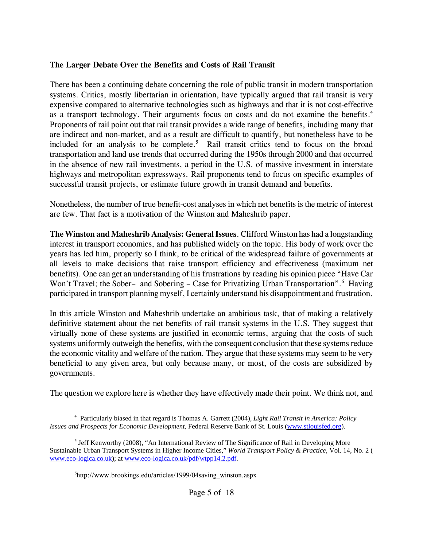## **The Larger Debate Over the Benefits and Costs of Rail Transit**

There has been a continuing debate concerning the role of public transit in modern transportation systems. Critics, mostly libertarian in orientation, have typically argued that rail transit is very expensive compared to alternative technologies such as highways and that it is not cost-effective as a transport technology. Their arguments focus on costs and do not examine the benefits.<sup>4</sup> Proponents of rail point out that rail transit provides a wide range of benefits, including many that are indirect and non-market, and as a result are difficult to quantify, but nonetheless have to be included for an analysis to be complete.<sup>5</sup> Rail transit critics tend to focus on the broad transportation and land use trends that occurred during the 1950s through 2000 and that occurred in the absence of new rail investments, a period in the U.S. of massive investment in interstate highways and metropolitan expressways. Rail proponents tend to focus on specific examples of successful transit projects, or estimate future growth in transit demand and benefits.

Nonetheless, the number of true benefit-cost analyses in which net benefits is the metric of interest are few. That fact is a motivation of the Winston and Maheshrib paper.

**The Winston and Maheshrib Analysis: General Issues**. Clifford Winston has had a longstanding interest in transport economics, and has published widely on the topic. His body of work over the years has led him, properly so I think, to be critical of the widespread failure of governments at all levels to make decisions that raise transport efficiency and effectiveness (maximum net benefits). One can get an understanding of his frustrations by reading his opinion piece "Have Car Won't Travel; the Sober- and Sobering - Case for Privatizing Urban Transportation".<sup>6</sup> Having participated in transport planning myself, I certainly understand his disappointment and frustration.

In this article Winston and Maheshrib undertake an ambitious task, that of making a relatively definitive statement about the net benefits of rail transit systems in the U.S. They suggest that virtually none of these systems are justified in economic terms, arguing that the costs of such systems uniformly outweigh the benefits, with the consequent conclusion that these systems reduce the economic vitality and welfare of the nation. They argue that these systems may seem to be very beneficial to any given area, but only because many, or most, of the costs are subsidized by governments.

The question we explore here is whether they have effectively made their point. We think not, and

<sup>4</sup> Particularly biased in that regard is Thomas A. Garrett (2004), *Light Rail Transit in America: Policy Issues and Prospects for Economic Development*, Federal Reserve Bank of St. Louis (www.stlouisfed.org).

<sup>&</sup>lt;sup>5</sup> Jeff Kenworthy (2008), "An International Review of The Significance of Rail in Developing More Sustainable Urban Transport Systems in Higher Income Cities," *World Transport Policy & Practice*, Vol. 14, No. 2 ( www.eco-logica.co.uk); at www.eco-logica.co.uk/pdf/wtpp14.2.pdf.

<sup>&</sup>lt;sup>6</sup>http://www.brookings.edu/articles/1999/04saving\_winston.aspx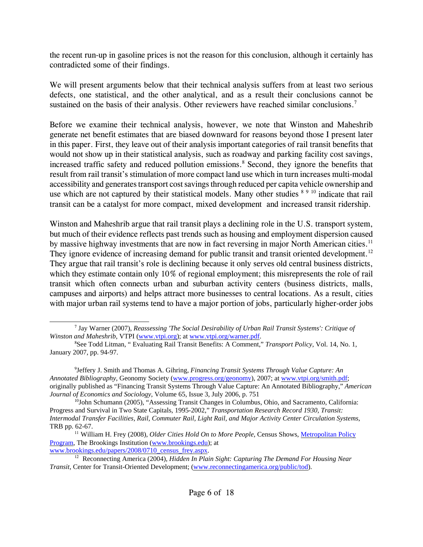the recent run-up in gasoline prices is not the reason for this conclusion, although it certainly has contradicted some of their findings.

We will present arguments below that their technical analysis suffers from at least two serious defects, one statistical, and the other analytical, and as a result their conclusions cannot be sustained on the basis of their analysis. Other reviewers have reached similar conclusions.<sup>7</sup>

Before we examine their technical analysis, however, we note that Winston and Maheshrib generate net benefit estimates that are biased downward for reasons beyond those I present later in this paper. First, they leave out of their analysis important categories of rail transit benefits that would not show up in their statistical analysis, such as roadway and parking facility cost savings, increased traffic safety and reduced pollution emissions.<sup>8</sup> Second, they ignore the benefits that result from rail transit's stimulation of more compact land use which in turn increases multi-modal accessibility and generates transport cost savings through reduced per capita vehicle ownership and use which are not captured by their statistical models. Many other studies <sup>8 9 10</sup> indicate that rail transit can be a catalyst for more compact, mixed development and increased transit ridership.

Winston and Maheshrib argue that rail transit plays a declining role in the U.S. transport system, but much of their evidence reflects past trends such as housing and employment dispersion caused by massive highway investments that are now in fact reversing in major North American cities.<sup>11</sup> They ignore evidence of increasing demand for public transit and transit oriented development.<sup>12</sup> They argue that rail transit's role is declining because it only serves old central business districts, which they estimate contain only 10% of regional employment; this misrepresents the role of rail transit which often connects urban and suburban activity centers (business districts, malls, campuses and airports) and helps attract more businesses to central locations. As a result, cities with major urban rail systems tend to have a major portion of jobs, particularly higher-order jobs

<sup>7</sup> Jay Warner (2007), *Reassessing 'The Social Desirability of Urban Rail Transit Systems': Critique of Winston and Maheshrib*, VTPI (www.vtpi.org); at www.vtpi.org/warner.pdf.

<sup>8</sup> See Todd Litman, " Evaluating Rail Transit Benefits: A Comment," *Transport Policy*, Vol. 14, No. 1, January 2007, pp. 94-97.

<sup>9</sup> Jeffery J. Smith and Thomas A. Gihring, *Financing Transit Systems Through Value Capture: An Annotated Bibliography*, Geonomy Society (www.progress.org/geonomy), 2007; at www.vtpi.org/smith.pdf; originally published as "Financing Transit Systems Through Value Capture: An Annotated Bibliography," *American Journal of Economics and Sociology*, Volume 65, Issue 3, July 2006, p. 751

<sup>10</sup>John Schumann (2005), "Assessing Transit Changes in Columbus, Ohio, and Sacramento, California: Progress and Survival in Two State Capitals, 1995-2002," *Transportation Research Record 1930, Transit: Intermodal Transfer Facilities, Rail, Commuter Rail, Light Rail, and Major Activity Center Circulation Systems*, TRB pp. 62-67.

<sup>11</sup> William H. Frey (2008), *Older Cities Hold On to More People*, Census Shows, Metropolitan Policy Program, The Brookings Institution (www.brookings.edu); at www.brookings.edu/papers/2008/0710\_census\_frey.aspx.

<sup>&</sup>lt;sup>12</sup> Reconnecting America (2004), *Hidden In Plain Sight: Capturing The Demand For Housing Near Transit*, Center for Transit-Oriented Development; (www.reconnectingamerica.org/public/tod).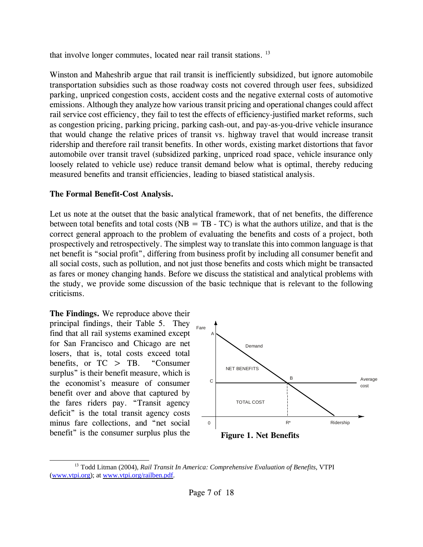that involve longer commutes, located near rail transit stations. 13

Winston and Maheshrib argue that rail transit is inefficiently subsidized, but ignore automobile transportation subsidies such as those roadway costs not covered through user fees, subsidized parking, unpriced congestion costs, accident costs and the negative external costs of automotive emissions. Although they analyze how various transit pricing and operational changes could affect rail service cost efficiency, they fail to test the effects of efficiency-justified market reforms, such as congestion pricing, parking pricing, parking cash-out, and pay-as-you-drive vehicle insurance that would change the relative prices of transit vs. highway travel that would increase transit ridership and therefore rail transit benefits. In other words, existing market distortions that favor automobile over transit travel (subsidized parking, unpriced road space, vehicle insurance only loosely related to vehicle use) reduce transit demand below what is optimal, thereby reducing measured benefits and transit efficiencies, leading to biased statistical analysis.

## **The Formal Benefit-Cost Analysis.**

Let us note at the outset that the basic analytical framework, that of net benefits, the difference between total benefits and total costs ( $NB = TB - TC$ ) is what the authors utilize, and that is the correct general approach to the problem of evaluating the benefits and costs of a project, both prospectively and retrospectively. The simplest way to translate this into common language is that net benefit is "social profit", differing from business profit by including all consumer benefit and all social costs, such as pollution, and not just those benefits and costs which might be transacted as fares or money changing hands. Before we discuss the statistical and analytical problems with the study, we provide some discussion of the basic technique that is relevant to the following criticisms.

**The Findings.** We reproduce above their principal findings, their Table 5. They find that all rail systems examined except for San Francisco and Chicago are net losers, that is, total costs exceed total benefits, or TC > TB. "Consumer surplus" is their benefit measure, which is the economist's measure of consumer benefit over and above that captured by the fares riders pay. "Transit agency deficit" is the total transit agency costs minus fare collections, and "net social benefit" is the consumer surplus plus the





<sup>13</sup> Todd Litman (2004), *Rail Transit In America: Comprehensive Evaluation of Benefits*, VTPI (www.vtpi.org); at www.vtpi.org/railben.pdf.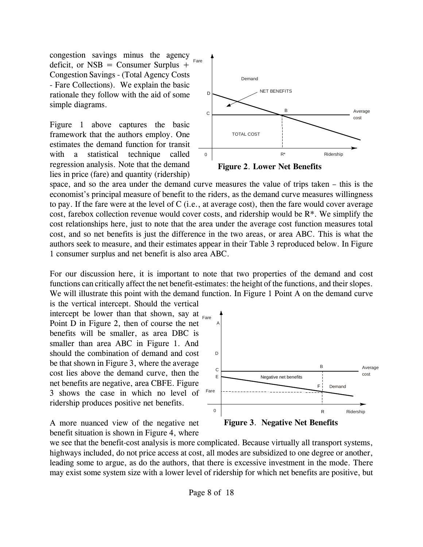congestion savings minus the agency deficit, or  $NSB =$  Consumer Surplus + Congestion Savings - (Total Agency Costs - Fare Collections). We explain the basic rationale they follow with the aid of some simple diagrams. Fare

Figure 1 above captures the basic framework that the authors employ. One estimates the demand function for transit with a statistical technique called regression analysis. Note that the demand lies in price (fare) and quantity (ridership)



space, and so the area under the demand curve measures the value of trips taken – this is the economist's principal measure of benefit to the riders, as the demand curve measures willingness to pay. If the fare were at the level of C (i.e., at average cost), then the fare would cover average cost, farebox collection revenue would cover costs, and ridership would be R\*. We simplify the cost relationships here, just to note that the area under the average cost function measures total cost, and so net benefits is just the difference in the two areas, or area ABC. This is what the authors seek to measure, and their estimates appear in their Table 3 reproduced below. In Figure 1 consumer surplus and net benefit is also area ABC.

For our discussion here, it is important to note that two properties of the demand and cost functions can critically affect the net benefit-estimates: the height of the functions, and their slopes. We will illustrate this point with the demand function. In Figure 1 Point A on the demand curve is the vertical intercept. Should the vertical

intercept be lower than that shown, say at  $_{\text{Face}}$ Point D in Figure 2, then of course the net benefits will be smaller, as area DBC is smaller than area ABC in Figure 1. And should the combination of demand and cost be that shown in Figure 3, where the average cost lies above the demand curve, then the net benefits are negative, area CBFE. Figure 3 shows the case in which no level of ridership produces positive net benefits.

0 Ridership Demand Average cost A B C E D Fare R F Negative net benefits

A more nuanced view of the negative net benefit situation is shown in Figure 4, where



we see that the benefit-cost analysis is more complicated. Because virtually all transport systems, highways included, do not price access at cost, all modes are subsidized to one degree or another, leading some to argue, as do the authors, that there is excessive investment in the mode. There may exist some system size with a lower level of ridership for which net benefits are positive, but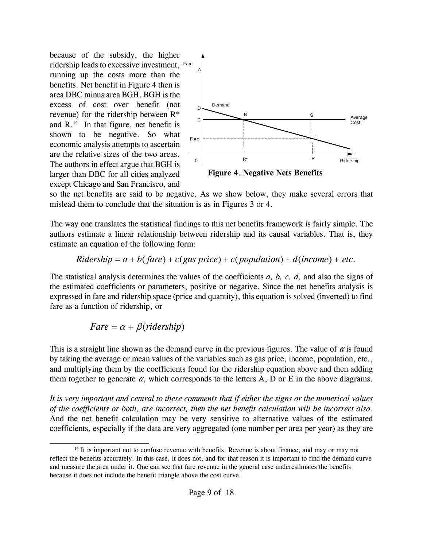because of the subsidy, the higher ridership leads to excessive investment, Fare running up the costs more than the benefits. Net benefit in Figure 4 then is area DBC minus area BGH. BGH is the excess of cost over benefit (not revenue) for the ridership between R\* and  $R^{14}$  In that figure, net benefit is shown to be negative. So what economic analysis attempts to ascertain are the relative sizes of the two areas. The authors in effect argue that BGH is larger than DBC for all cities analyzed except Chicago and San Francisco, and



so the net benefits are said to be negative. As we show below, they make several errors that mislead them to conclude that the situation is as in Figures 3 or 4.

The way one translates the statistical findings to this net benefits framework is fairly simple. The authors estimate a linear relationship between ridership and its causal variables. That is, they estimate an equation of the following form:

Ridership = 
$$
a + b(fare) + c(gas price) + c(population) + d(income) + etc.
$$

The statistical analysis determines the values of the coefficients *a, b, c, d,* and also the signs of the estimated coefficients or parameters, positive or negative. Since the net benefits analysis is expressed in fare and ridership space (price and quantity), this equation is solved (inverted) to find fare as a function of ridership, or

$$
Fare = \alpha + \beta (ridership)
$$

This is a straight line shown as the demand curve in the previous figures. The value of  $\alpha$  is found by taking the average or mean values of the variables such as gas price, income, population, etc., and multiplying them by the coefficients found for the ridership equation above and then adding them together to generate  $\alpha$ , which corresponds to the letters A, D or E in the above diagrams.

*It is very important and central to these comments that if either the signs or the numerical values of the coefficients or both, are incorrect, then the net benefit calculation will be incorrect also.* And the net benefit calculation may be very sensitive to alternative values of the estimated coefficients, especially if the data are very aggregated (one number per area per year) as they are

<sup>&</sup>lt;sup>14</sup> It is important not to confuse revenue with benefits. Revenue is about finance, and may or may not reflect the benefits accurately. In this case, it does not, and for that reason it is important to find the demand curve and measure the area under it. One can see that fare revenue in the general case underestimates the benefits because it does not include the benefit triangle above the cost curve.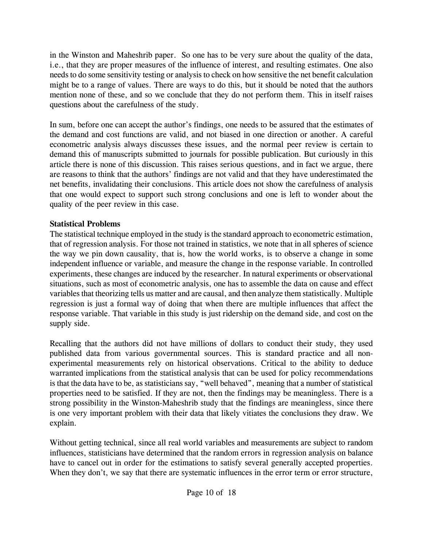in the Winston and Maheshrib paper. So one has to be very sure about the quality of the data, i.e., that they are proper measures of the influence of interest, and resulting estimates. One also needs to do some sensitivity testing or analysis to check on how sensitive the net benefit calculation might be to a range of values. There are ways to do this, but it should be noted that the authors mention none of these, and so we conclude that they do not perform them. This in itself raises questions about the carefulness of the study.

In sum, before one can accept the author's findings, one needs to be assured that the estimates of the demand and cost functions are valid, and not biased in one direction or another. A careful econometric analysis always discusses these issues, and the normal peer review is certain to demand this of manuscripts submitted to journals for possible publication. But curiously in this article there is none of this discussion. This raises serious questions, and in fact we argue, there are reasons to think that the authors' findings are not valid and that they have underestimated the net benefits, invalidating their conclusions. This article does not show the carefulness of analysis that one would expect to support such strong conclusions and one is left to wonder about the quality of the peer review in this case.

# **Statistical Problems**

The statistical technique employed in the study is the standard approach to econometric estimation, that of regression analysis. For those not trained in statistics, we note that in all spheres of science the way we pin down causality, that is, how the world works, is to observe a change in some independent influence or variable, and measure the change in the response variable. In controlled experiments, these changes are induced by the researcher. In natural experiments or observational situations, such as most of econometric analysis, one has to assemble the data on cause and effect variables that theorizing tells us matter and are causal, and then analyze them statistically. Multiple regression is just a formal way of doing that when there are multiple influences that affect the response variable. That variable in this study is just ridership on the demand side, and cost on the supply side.

Recalling that the authors did not have millions of dollars to conduct their study, they used published data from various governmental sources. This is standard practice and all nonexperimental measurements rely on historical observations. Critical to the ability to deduce warranted implications from the statistical analysis that can be used for policy recommendations is that the data have to be, as statisticians say, "well behaved", meaning that a number of statistical properties need to be satisfied. If they are not, then the findings may be meaningless. There is a strong possibility in the Winston-Maheshrib study that the findings are meaningless, since there is one very important problem with their data that likely vitiates the conclusions they draw. We explain.

Without getting technical, since all real world variables and measurements are subject to random influences, statisticians have determined that the random errors in regression analysis on balance have to cancel out in order for the estimations to satisfy several generally accepted properties. When they don't, we say that there are systematic influences in the error term or error structure,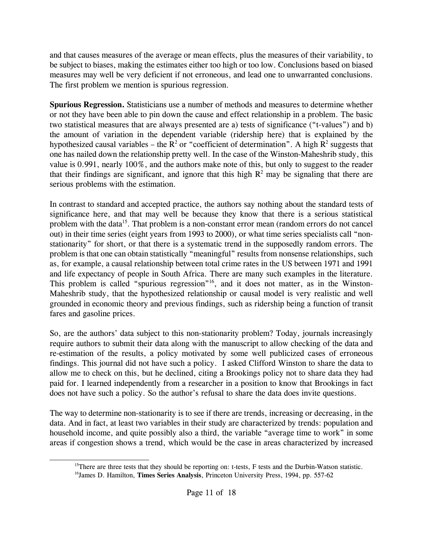and that causes measures of the average or mean effects, plus the measures of their variability, to be subject to biases, making the estimates either too high or too low. Conclusions based on biased measures may well be very deficient if not erroneous, and lead one to unwarranted conclusions. The first problem we mention is spurious regression.

**Spurious Regression.** Statisticians use a number of methods and measures to determine whether or not they have been able to pin down the cause and effect relationship in a problem. The basic two statistical measures that are always presented are a) tests of significance ("t-values") and b) the amount of variation in the dependent variable (ridership here) that is explained by the hypothesized causal variables – the  $\mathbb{R}^2$  or "coefficient of determination". A high  $\mathbb{R}^2$  suggests that one has nailed down the relationship pretty well. In the case of the Winston-Maheshrib study, this value is 0.991, nearly 100%, and the authors make note of this, but only to suggest to the reader that their findings are significant, and ignore that this high  $\mathbb{R}^2$  may be signaling that there are serious problems with the estimation.

In contrast to standard and accepted practice, the authors say nothing about the standard tests of significance here, and that may well be because they know that there is a serious statistical problem with the data<sup>15</sup>. That problem is a non-constant error mean (random errors do not cancel out) in their time series (eight years from 1993 to 2000), or what time series specialists call "nonstationarity" for short, or that there is a systematic trend in the supposedly random errors. The problem is that one can obtain statistically "meaningful" results from nonsense relationships, such as, for example, a causal relationship between total crime rates in the US between 1971 and 1991 and life expectancy of people in South Africa. There are many such examples in the literature. This problem is called "spurious regression"<sup>16</sup>, and it does not matter, as in the Winston-Maheshrib study, that the hypothesized relationship or causal model is very realistic and well grounded in economic theory and previous findings, such as ridership being a function of transit fares and gasoline prices.

So, are the authors' data subject to this non-stationarity problem? Today, journals increasingly require authors to submit their data along with the manuscript to allow checking of the data and re-estimation of the results, a policy motivated by some well publicized cases of erroneous findings. This journal did not have such a policy. I asked Clifford Winston to share the data to allow me to check on this, but he declined, citing a Brookings policy not to share data they had paid for. I learned independently from a researcher in a position to know that Brookings in fact does not have such a policy. So the author's refusal to share the data does invite questions.

The way to determine non-stationarity is to see if there are trends, increasing or decreasing, in the data. And in fact, at least two variables in their study are characterized by trends: population and household income, and quite possibly also a third, the variable "average time to work" in some areas if congestion shows a trend, which would be the case in areas characterized by increased

<sup>&</sup>lt;sup>15</sup>There are three tests that they should be reporting on: t-tests, F tests and the Durbin-Watson statistic. <sup>16</sup>James D. Hamilton, **Times Series Analysis**, Princeton University Press, 1994, pp. 557-62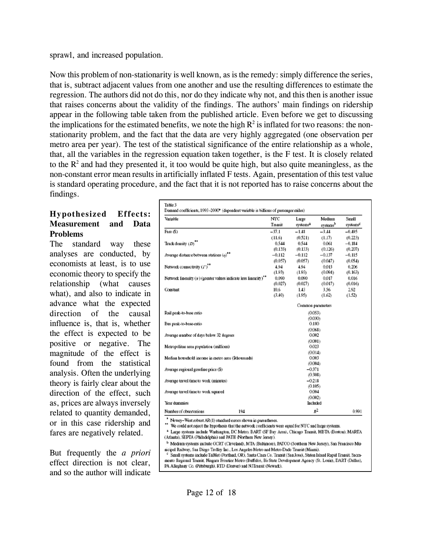sprawl, and increased population.

Now this problem of non-stationarity is well known, as is the remedy: simply difference the series, that is, subtract adjacent values from one another and use the resulting differences to estimate the regression. The authors did not do this, nor do they indicate why not, and this then is another issue that raises concerns about the validity of the findings. The authors' main findings on ridership appear in the following table taken from the published article. Even before we get to discussing the implications for the estimated benefits, we note the high  $R^2$  is inflated for two reasons: the nonstationarity problem, and the fact that the data are very highly aggregated (one observation per metro area per year). The test of the statistical significance of the entire relationship as a whole, that, all the variables in the regression equation taken together, is the F test. It is closely related to the  $\mathbb{R}^2$  and had they presented it, it too would be quite high, but also quite meaningless, as the non-constant error mean results in artificially inflated F tests. Again, presentation of this test value is standard operating procedure, and the fact that it is not reported has to raise concerns about the findings.

### **Hypothesized Effects: Measurement and Data Problems**

The standard way these analyses are conducted, by economists at least, is to use economic theory to specify the relationship (what causes what), and also to indicate in advance what the expected direction of the causal influence is, that is, whether the effect is expected to be positive or negative. The magnitude of the effect is found from the statistical analysis. Often the underlying theory is fairly clear about the direction of the effect, such as, prices are always inversely related to quantity demanded, or in this case ridership and fares are negatively related.

But frequently the *a priori* effect direction is not clear, and so the author will indicate

| Variable                                                                         |                     | <b>NYC</b><br>Transit | Large<br>systems <sup>2</sup> | Medium<br>systems <sup>b</sup> | Small<br>systems <sup>c</sup> |  |
|----------------------------------------------------------------------------------|---------------------|-----------------------|-------------------------------|--------------------------------|-------------------------------|--|
|                                                                                  |                     |                       |                               |                                |                               |  |
| Fare (\$)                                                                        |                     | $-37.1$               | $-1.48$                       | $-3.44$                        | $-0.495$                      |  |
|                                                                                  |                     | (11.6)                | (0.521)                       | (1.17)                         | (0.223)                       |  |
| Track density $(D)$ <sup>**</sup>                                                |                     | 0.544                 | 0.544                         | 0.061                          | $-0.184$                      |  |
|                                                                                  |                     | (0.133)               | (0.133)                       | (0.126)                        | (0.207)                       |  |
| Average distance between stations $(n)$ <sup>**</sup>                            |                     | $-0.112$              | $-0.112$                      | $-0.137$                       | $-0.115$                      |  |
|                                                                                  |                     | (0.057)               | (0.057)                       | (0.047)                        | (0.054)                       |  |
| Network connectivity $(T)^{**}$                                                  |                     | 4.94                  | 4.94                          | 0.013                          | 0.206                         |  |
|                                                                                  |                     | (1.93)                | (1.93)                        | (0.094)                        | (0.163)                       |  |
| Network linearity $(\pi)$ (greater values indicate less linearity) <sup>**</sup> |                     | 0.090                 | 0.090                         | 0.017                          | 0.016                         |  |
|                                                                                  |                     | (0.027)               | (0.027)                       | (0.017)                        | (0.016)                       |  |
| Constant                                                                         |                     | 10.6                  | 1.43                          | 3.56                           | 2.92                          |  |
|                                                                                  |                     | (3.40)                | (1.95)                        | (1.62)                         | (1.52)                        |  |
|                                                                                  |                     |                       | Common parameters             |                                |                               |  |
| Rail peak-to-base ratio                                                          |                     | (0.053)               |                               |                                |                               |  |
|                                                                                  |                     | (0.030)               |                               |                                |                               |  |
| Bus peak-to-base-ratio                                                           |                     | 0.180                 |                               |                                |                               |  |
|                                                                                  |                     | (0.068)               |                               |                                |                               |  |
| Average number of days below 32 degrees                                          |                     | 0.002                 |                               |                                |                               |  |
|                                                                                  |                     | (0.001)               |                               |                                |                               |  |
| Metropolitan area population (millions)                                          | 0.023               |                       |                               |                                |                               |  |
| Median household income in metro area (\$thousands)                              |                     | (0.014)<br>0.003      |                               |                                |                               |  |
|                                                                                  | (0.004)             |                       |                               |                                |                               |  |
|                                                                                  |                     |                       | $-0.371$                      |                                |                               |  |
| Average regional gasoline price (\$)                                             |                     |                       |                               |                                |                               |  |
|                                                                                  | (0.308)<br>$-0.218$ |                       |                               |                                |                               |  |
| Average travel time to work (minutes)                                            |                     | (0.105)               |                               |                                |                               |  |
| Average travel time to work squared                                              | 0.004               |                       |                               |                                |                               |  |
|                                                                                  |                     |                       | (0.002)                       |                                |                               |  |
| Year dummies                                                                     |                     |                       | Included                      |                                |                               |  |
|                                                                                  |                     |                       |                               |                                |                               |  |
| Number of observations                                                           | 194                 |                       |                               | $R^2$                          | 0.991                         |  |

Newey-West robust AR(1) standard errors shown in parentheses. ..

We could not reject the hypothesis that the network coefficients were equal for NYC and large systems.

<sup>a</sup> Large systems include Washington, DC Metro, BART (SF Bay Area), Chicago Transit, MBTA (Boston), MARTA (Atlanta), SEPTA (Philadelphia) and PATH (Northern New Jersey).

b Medium systems include GCRT (Cleveland), MTA (Baltimore), PATCO (Southern New Jersey), San Francisco Municipal Railway, San Diego Trolley Inc., Los Angeles Metro and Metro-Dade Transit (Miami).

Small systems include TriMet (Portland, OR), Santa Clara Co. Transit (San Jose), Staten Island Rapid Transit, Sacramento Regional Transit, Niagara Frontier Metro (Buffalo), Bi-State Development Agency (St. Louis), DART (Dallas), PA Alleghany Co. (Pittsburgh), RTD (Denver) and NJTransit (Newark).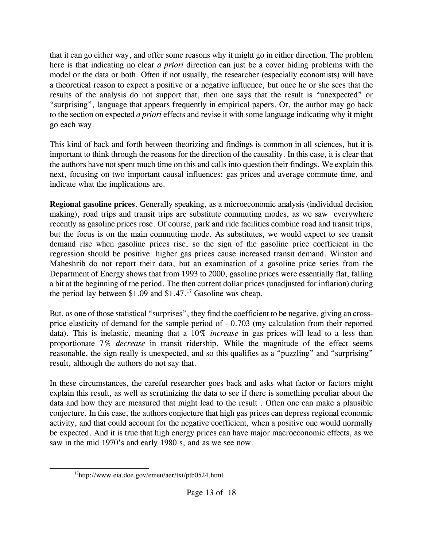that it can go either way, and offer some reasons why it might go in either direction. The problem here is that indicating no clear *a priori* direction can just be a cover hiding problems with the model or the data or both. Often if not usually, the researcher (especially economists) will have a theoretical reason to expect a positive or a negative influence, but once he or she sees that the results of the analysis do not support that, then one says that the result is "unexpected" or "surprising", language that appears frequently in empirical papers. Or, the author may go back to the section on expected *a priori* effects and revise it with some language indicating why it might go each way.

This kind of back and forth between theorizing and findings is common in all sciences, but it is important to think through the reasons for the direction of the causality. In this case, it is clear that the authors have not spent much time on this and calls into question their findings. We explain this next, focusing on two important causal influences: gas prices and average commute time, and indicate what the implications are.

**Regional gasoline prices**. Generally speaking, as a microeconomic analysis (individual decision making), road trips and transit trips are substitute commuting modes, as we saw everywhere recently as gasoline prices rose. Of course, park and ride facilities combine road and transit trips, but the focus is on the main commuting mode. As substitutes, we would expect to see transit demand rise when gasoline prices rise, so the sign of the gasoline price coefficient in the regression should be positive: higher gas prices cause increased transit demand. Winston and Maheshrib do not report their data, but an examination of a gasoline price series from the Department of Energy shows that from 1993 to 2000, gasoline prices were essentially flat, falling a bit at the beginning of the period. The then current dollar prices (unadjusted for inflation) during the period lay between \$1.09 and  $$1.47<sup>17</sup>$  Gasoline was cheap.

But, as one of those statistical "surprises", they find the coefficient to be negative, giving an crossprice elasticity of demand for the sample period of - 0.703 (my calculation from their reported data). This is inelastic, meaning that a 10% *increase* in gas prices will lead to a less than proportionate 7% *decrease* in transit ridership. While the magnitude of the effect seems reasonable, the sign really is unexpected, and so this qualifies as a "puzzling" and "surprising" result, although the authors do not say that.

In these circumstances, the careful researcher goes back and asks what factor or factors might explain this result, as well as scrutinizing the data to see if there is something peculiar about the data and how they are measured that might lead to the result . Often one can make a plausible conjecture. In this case, the authors conjecture that high gas prices can depress regional economic activity, and that could account for the negative coefficient, when a positive one would normally be expected. And it is true that high energy prices can have major macroeconomic effects, as we saw in the mid 1970's and early 1980's, and as we see now.

<sup>17</sup>http://www.eia.doe.gov/emeu/aer/txt/ptb0524.html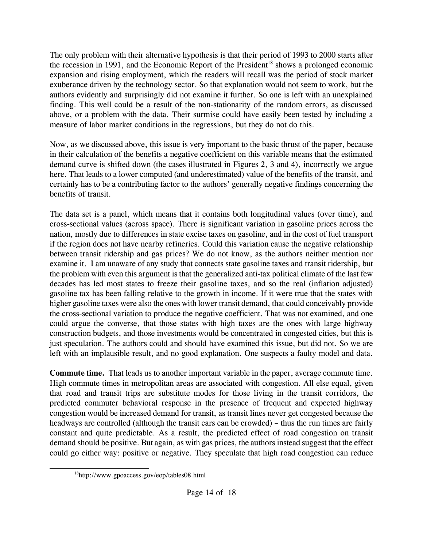The only problem with their alternative hypothesis is that their period of 1993 to 2000 starts after the recession in 1991, and the Economic Report of the President<sup>18</sup> shows a prolonged economic expansion and rising employment, which the readers will recall was the period of stock market exuberance driven by the technology sector. So that explanation would not seem to work, but the authors evidently and surprisingly did not examine it further. So one is left with an unexplained finding. This well could be a result of the non-stationarity of the random errors, as discussed above, or a problem with the data. Their surmise could have easily been tested by including a measure of labor market conditions in the regressions, but they do not do this.

Now, as we discussed above, this issue is very important to the basic thrust of the paper, because in their calculation of the benefits a negative coefficient on this variable means that the estimated demand curve is shifted down (the cases illustrated in Figures 2, 3 and 4), incorrectly we argue here. That leads to a lower computed (and underestimated) value of the benefits of the transit, and certainly has to be a contributing factor to the authors' generally negative findings concerning the benefits of transit.

The data set is a panel, which means that it contains both longitudinal values (over time), and cross-sectional values (across space). There is significant variation in gasoline prices across the nation, mostly due to differences in state excise taxes on gasoline, and in the cost of fuel transport if the region does not have nearby refineries. Could this variation cause the negative relationship between transit ridership and gas prices? We do not know, as the authors neither mention nor examine it. I am unaware of any study that connects state gasoline taxes and transit ridership, but the problem with even this argument is that the generalized anti-tax political climate of the last few decades has led most states to freeze their gasoline taxes, and so the real (inflation adjusted) gasoline tax has been falling relative to the growth in income. If it were true that the states with higher gasoline taxes were also the ones with lower transit demand, that could conceivably provide the cross-sectional variation to produce the negative coefficient. That was not examined, and one could argue the converse, that those states with high taxes are the ones with large highway construction budgets, and those investments would be concentrated in congested cities, but this is just speculation. The authors could and should have examined this issue, but did not. So we are left with an implausible result, and no good explanation. One suspects a faulty model and data.

**Commute time.** That leads us to another important variable in the paper, average commute time. High commute times in metropolitan areas are associated with congestion. All else equal, given that road and transit trips are substitute modes for those living in the transit corridors, the predicted commuter behavioral response in the presence of frequent and expected highway congestion would be increased demand for transit, as transit lines never get congested because the headways are controlled (although the transit cars can be crowded) – thus the run times are fairly constant and quite predictable. As a result, the predicted effect of road congestion on transit demand should be positive. But again, as with gas prices, the authors instead suggest that the effect could go either way: positive or negative. They speculate that high road congestion can reduce

<sup>18</sup>http://www.gpoaccess.gov/eop/tables08.html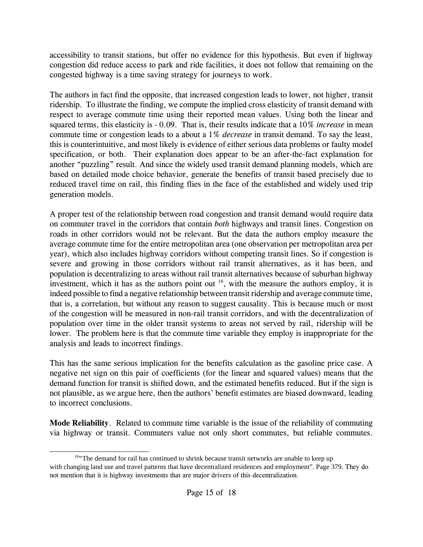accessibility to transit stations, but offer no evidence for this hypothesis. But even if highway congestion did reduce access to park and ride facilities, it does not follow that remaining on the congested highway is a time saving strategy for journeys to work.

The authors in fact find the opposite, that increased congestion leads to lower, not higher, transit ridership. To illustrate the finding, we compute the implied cross elasticity of transit demand with respect to average commute time using their reported mean values. Using both the linear and squared terms, this elasticity is - 0.09. That is, their results indicate that a 10% *increase* in mean commute time or congestion leads to a about a 1% *decrease* in transit demand. To say the least, this is counterintuitive, and most likely is evidence of either serious data problems or faulty model specification, or both. Their explanation does appear to be an after-the-fact explanation for another "puzzling" result. And since the widely used transit demand planning models, which are based on detailed mode choice behavior, generate the benefits of transit based precisely due to reduced travel time on rail, this finding flies in the face of the established and widely used trip generation models.

A proper test of the relationship between road congestion and transit demand would require data on commuter travel in the corridors that contain *both* highways and transit lines. Congestion on roads in other corridors would not be relevant. But the data the authors employ measure the average commute time for the entire metropolitan area (one observation per metropolitan area per year), which also includes highway corridors without competing transit lines. So if congestion is severe and growing in those corridors without rail transit alternatives, as it has been, and population is decentralizing to areas without rail transit alternatives because of suburban highway investment, which it has as the authors point out  $19$ , with the measure the authors employ, it is indeed possible to find a negative relationship between transit ridership and average commute time, that is, a correlation, but without any reason to suggest causality. This is because much or most of the congestion will be measured in non-rail transit corridors, and with the decentralization of population over time in the older transit systems to areas not served by rail, ridership will be lower. The problem here is that the commute time variable they employ is inappropriate for the analysis and leads to incorrect findings.

This has the same serious implication for the benefits calculation as the gasoline price case. A negative net sign on this pair of coefficients (for the linear and squared values) means that the demand function for transit is shifted down, and the estimated benefits reduced. But if the sign is not plausible, as we argue here, then the authors' benefit estimates are biased downward, leading to incorrect conclusions.

**Mode Reliability**. Related to commute time variable is the issue of the reliability of commuting via highway or transit. Commuters value not only short commutes, but reliable commutes.

<sup>&</sup>lt;sup>19</sup>"The demand for rail has continued to shrink because transit networks are unable to keep up with changing land use and travel patterns that have decentralized residences and employment". Page 379. They do not mention that it is highway investments that are major drivers of this decentralization.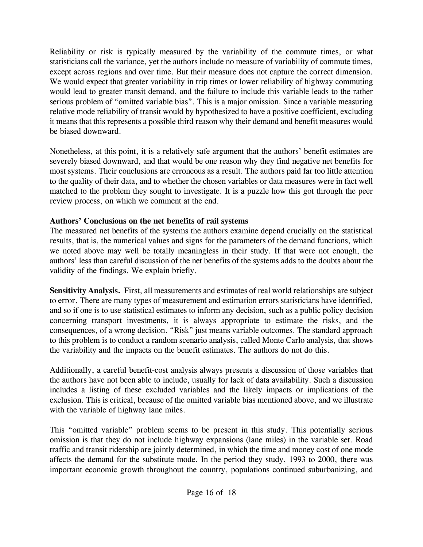Reliability or risk is typically measured by the variability of the commute times, or what statisticians call the variance, yet the authors include no measure of variability of commute times, except across regions and over time. But their measure does not capture the correct dimension. We would expect that greater variability in trip times or lower reliability of highway commuting would lead to greater transit demand, and the failure to include this variable leads to the rather serious problem of "omitted variable bias". This is a major omission. Since a variable measuring relative mode reliability of transit would by hypothesized to have a positive coefficient, excluding it means that this represents a possible third reason why their demand and benefit measures would be biased downward.

Nonetheless, at this point, it is a relatively safe argument that the authors' benefit estimates are severely biased downward, and that would be one reason why they find negative net benefits for most systems. Their conclusions are erroneous as a result. The authors paid far too little attention to the quality of their data, and to whether the chosen variables or data measures were in fact well matched to the problem they sought to investigate. It is a puzzle how this got through the peer review process, on which we comment at the end.

# **Authors' Conclusions on the net benefits of rail systems**

The measured net benefits of the systems the authors examine depend crucially on the statistical results, that is, the numerical values and signs for the parameters of the demand functions, which we noted above may well be totally meaningless in their study. If that were not enough, the authors' less than careful discussion of the net benefits of the systems adds to the doubts about the validity of the findings. We explain briefly.

**Sensitivity Analysis.** First, all measurements and estimates of real world relationships are subject to error. There are many types of measurement and estimation errors statisticians have identified, and so if one is to use statistical estimates to inform any decision, such as a public policy decision concerning transport investments, it is always appropriate to estimate the risks, and the consequences, of a wrong decision. "Risk" just means variable outcomes. The standard approach to this problem is to conduct a random scenario analysis, called Monte Carlo analysis, that shows the variability and the impacts on the benefit estimates. The authors do not do this.

Additionally, a careful benefit-cost analysis always presents a discussion of those variables that the authors have not been able to include, usually for lack of data availability. Such a discussion includes a listing of these excluded variables and the likely impacts or implications of the exclusion. This is critical, because of the omitted variable bias mentioned above, and we illustrate with the variable of highway lane miles.

This "omitted variable" problem seems to be present in this study. This potentially serious omission is that they do not include highway expansions (lane miles) in the variable set. Road traffic and transit ridership are jointly determined, in which the time and money cost of one mode affects the demand for the substitute mode. In the period they study, 1993 to 2000, there was important economic growth throughout the country, populations continued suburbanizing, and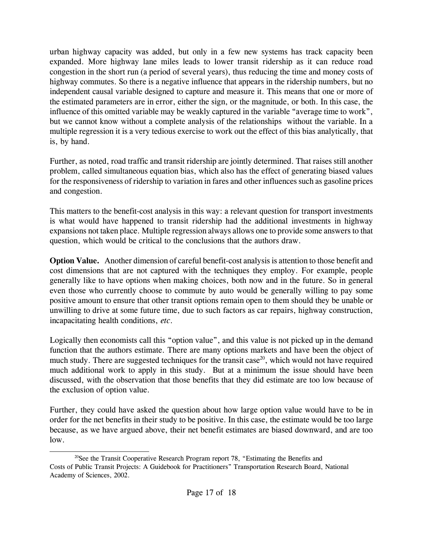urban highway capacity was added, but only in a few new systems has track capacity been expanded. More highway lane miles leads to lower transit ridership as it can reduce road congestion in the short run (a period of several years), thus reducing the time and money costs of highway commutes. So there is a negative influence that appears in the ridership numbers, but no independent causal variable designed to capture and measure it. This means that one or more of the estimated parameters are in error, either the sign, or the magnitude, or both. In this case, the influence of this omitted variable may be weakly captured in the variable "average time to work", but we cannot know without a complete analysis of the relationships without the variable. In a multiple regression it is a very tedious exercise to work out the effect of this bias analytically, that is, by hand.

Further, as noted, road traffic and transit ridership are jointly determined. That raises still another problem, called simultaneous equation bias, which also has the effect of generating biased values for the responsiveness of ridership to variation in fares and other influences such as gasoline prices and congestion.

This matters to the benefit-cost analysis in this way: a relevant question for transport investments is what would have happened to transit ridership had the additional investments in highway expansions not taken place. Multiple regression always allows one to provide some answers to that question, which would be critical to the conclusions that the authors draw.

**Option Value.** Another dimension of careful benefit-cost analysis is attention to those benefit and cost dimensions that are not captured with the techniques they employ. For example, people generally like to have options when making choices, both now and in the future. So in general even those who currently choose to commute by auto would be generally willing to pay some positive amount to ensure that other transit options remain open to them should they be unable or unwilling to drive at some future time, due to such factors as car repairs, highway construction, incapacitating health conditions, *etc*.

Logically then economists call this "option value", and this value is not picked up in the demand function that the authors estimate. There are many options markets and have been the object of much study. There are suggested techniques for the transit case<sup>20</sup>, which would not have required much additional work to apply in this study. But at a minimum the issue should have been discussed, with the observation that those benefits that they did estimate are too low because of the exclusion of option value.

Further, they could have asked the question about how large option value would have to be in order for the net benefits in their study to be positive. In this case, the estimate would be too large because, as we have argued above, their net benefit estimates are biased downward, and are too low.

<sup>&</sup>lt;sup>20</sup>See the Transit Cooperative Research Program report 78, "Estimating the Benefits and Costs of Public Transit Projects: A Guidebook for Practitioners" Transportation Research Board, National Academy of Sciences, 2002.